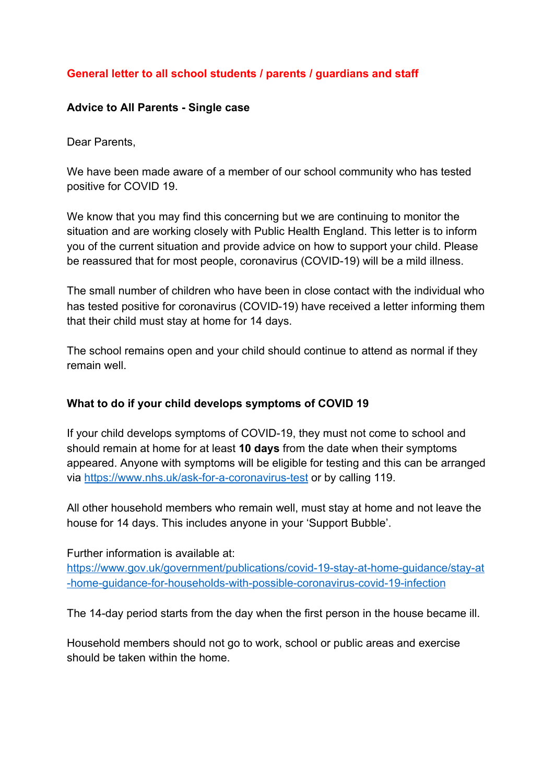### **General letter to all school students / parents / guardians and staff**

#### **Advice to All Parents - Single case**

Dear Parents

We have been made aware of a member of our school community who has tested positive for COVID 19.

We know that you may find this concerning but we are continuing to monitor the situation and are working closely with Public Health England. This letter is to inform you of the current situation and provide advice on how to support your child. Please be reassured that for most people, coronavirus (COVID-19) will be a mild illness.

The small number of children who have been in close contact with the individual who has tested positive for coronavirus (COVID-19) have received a letter informing them that their child must stay at home for 14 days.

The school remains open and your child should continue to attend as normal if they remain well.

#### **What to do if your child develops symptoms of COVID 19**

If your child develops symptoms of COVID-19, they must not come to school and should remain at home for at least **10 days** from the date when their symptoms appeared. Anyone with symptoms will be eligible for testing and this can be arranged via <https://www.nhs.uk/ask-for-a-coronavirus-test>or by calling 119.

All other household members who remain well, must stay at home and not leave the house for 14 days. This includes anyone in your 'Support Bubble'.

Further information is available at:

[https://www.gov.uk/government/publications/covid-19-stay-at-home-guidance/stay-at](https://www.gov.uk/government/publications/covid-19-stay-at-home-guidance/stay-at-home-guidance-for-households-with-possible-coronavirus-covid-19-infection) [-home-guidance-for-households-with-possible-coronavirus-covid-19-infection](https://www.gov.uk/government/publications/covid-19-stay-at-home-guidance/stay-at-home-guidance-for-households-with-possible-coronavirus-covid-19-infection)

The 14-day period starts from the day when the first person in the house became ill.

Household members should not go to work, school or public areas and exercise should be taken within the home.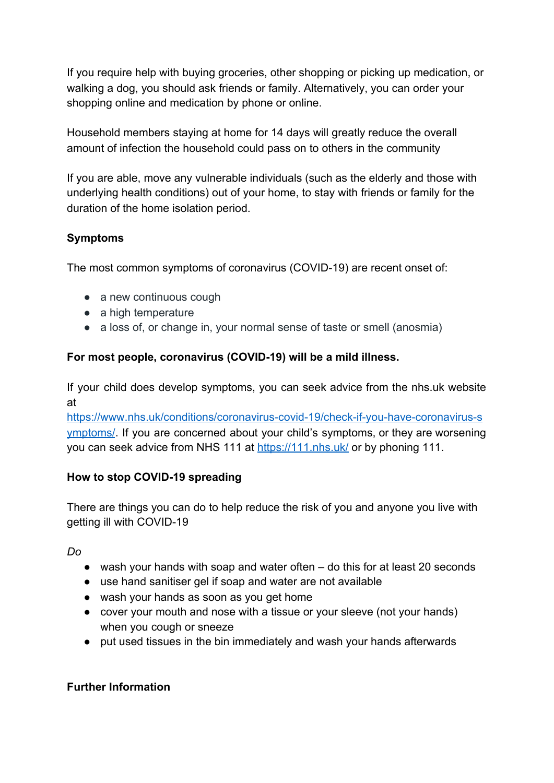If you require help with buying groceries, other shopping or picking up medication, or walking a dog, you should ask friends or family. Alternatively, you can order your shopping online and medication by phone or online.

Household members staying at home for 14 days will greatly reduce the overall amount of infection the household could pass on to others in the community

If you are able, move any vulnerable individuals (such as the elderly and those with underlying health conditions) out of your home, to stay with friends or family for the duration of the home isolation period.

# **Symptoms**

The most common symptoms of coronavirus (COVID-19) are recent onset of:

- a new continuous cough
- a high temperature
- a loss of, or change in, your normal sense of taste or smell (anosmia)

### **For most people, coronavirus (COVID-19) will be a mild illness.**

If your child does develop symptoms, you can seek advice from the nhs.uk website at

[https://www.nhs.uk/conditions/coronavirus-covid-19/check-if-you-have-coronavirus-s](https://www.nhs.uk/conditions/coronavirus-covid-19/check-if-you-have-coronavirus-symptoms/) [ymptoms/](https://www.nhs.uk/conditions/coronavirus-covid-19/check-if-you-have-coronavirus-symptoms/). If you are concerned about your child's symptoms, or they are worsening you can seek advice from NHS 111 at <https://111.nhs.uk/> or by phoning 111.

## **How to stop COVID-19 spreading**

There are things you can do to help reduce the risk of you and anyone you live with getting ill with COVID-19

## *Do*

- wash your hands with soap and water often do this for at least 20 seconds
- use hand sanitiser gel if soap and water are not available
- wash your hands as soon as you get home
- cover your mouth and nose with a tissue or your sleeve (not your hands) when you cough or sneeze
- put used tissues in the bin immediately and wash your hands afterwards

## **Further Information**